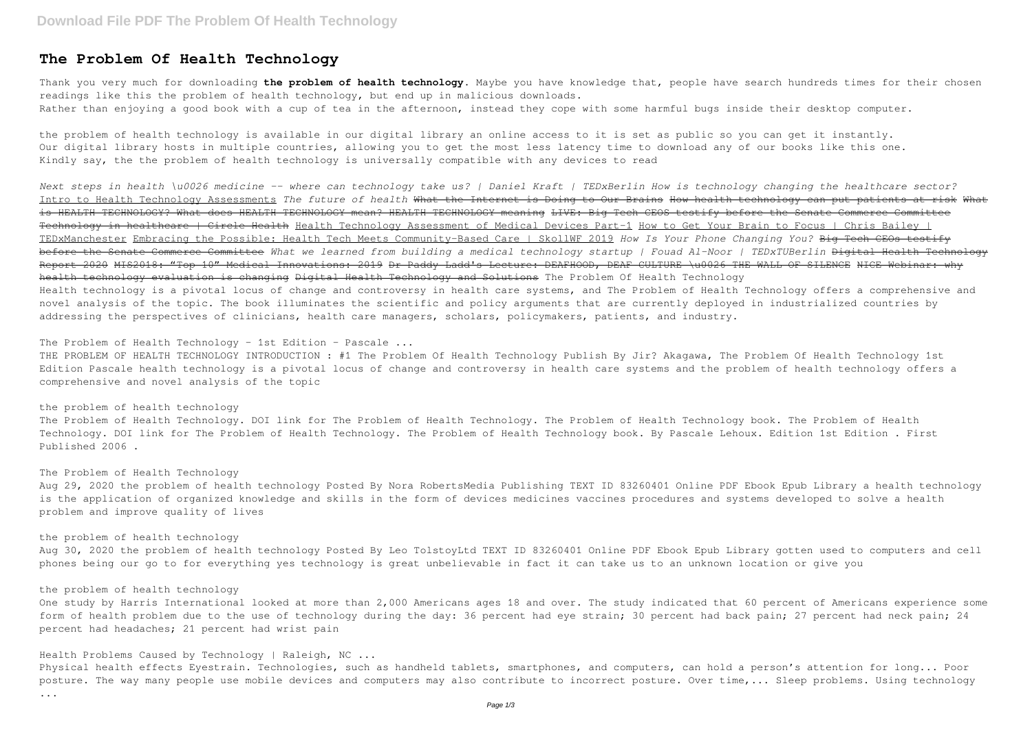Thank you very much for downloading **the problem of health technology**. Maybe you have knowledge that, people have search hundreds times for their chosen readings like this the problem of health technology, but end up in malicious downloads. Rather than enjoying a good book with a cup of tea in the afternoon, instead they cope with some harmful bugs inside their desktop computer.

# **The Problem Of Health Technology**

the problem of health technology is available in our digital library an online access to it is set as public so you can get it instantly. Our digital library hosts in multiple countries, allowing you to get the most less latency time to download any of our books like this one. Kindly say, the the problem of health technology is universally compatible with any devices to read

THE PROBLEM OF HEALTH TECHNOLOGY INTRODUCTION : #1 The Problem Of Health Technology Publish By Jir? Akagawa, The Problem Of Health Technology 1st Edition Pascale health technology is a pivotal locus of change and controversy in health care systems and the problem of health technology offers a comprehensive and novel analysis of the topic

*Next steps in health \u0026 medicine -- where can technology take us? | Daniel Kraft | TEDxBerlin How is technology changing the healthcare sector?* Intro to Health Technology Assessments *The future of health* What the Internet is Doing to Our Brains How health technology can put patients at risk What is HEALTH TECHNOLOGY? What does HEALTH TECHNOLOGY mean? HEALTH TECHNOLOGY meaning LIVE: Big Tech CEOS testify before the Senate Commerce Committee Technology in healthcare | Circle Health Health Technology Assessment of Medical Devices Part-1 How to Get Your Brain to Focus | Chris Bailey | TEDxManchester Embracing the Possible: Health Tech Meets Community-Based Care | SkollWF 2019 *How Is Your Phone Changing You?* Big Tech CEOs testify before the Senate Commerce Committee *What we learned from building a medical technology startup | Fouad Al-Noor | TEDxTUBerlin* Digital Health Technology Report 2020 MIS2018: "Top 10" Medical Innovations: 2019 Dr Paddy Ladd's Lecture: DEAFHOOD, DEAF CULTURE \u0026 THE WALL OF SILENCE NICE Webinar: why health technology evaluation is changing Digital Health Technology and Solutions The Problem Of Health Technology Health technology is a pivotal locus of change and controversy in health care systems, and The Problem of Health Technology offers a comprehensive and novel analysis of the topic. The book illuminates the scientific and policy arguments that are currently deployed in industrialized countries by addressing the perspectives of clinicians, health care managers, scholars, policymakers, patients, and industry.

The Problem of Health Technology - 1st Edition - Pascale ...

the problem of health technology

The Problem of Health Technology. DOI link for The Problem of Health Technology. The Problem of Health Technology book. The Problem of Health Technology. DOI link for The Problem of Health Technology. The Problem of Health Technology book. By Pascale Lehoux. Edition 1st Edition . First Published 2006 .

## The Problem of Health Technology

Aug 29, 2020 the problem of health technology Posted By Nora RobertsMedia Publishing TEXT ID 83260401 Online PDF Ebook Epub Library a health technology is the application of organized knowledge and skills in the form of devices medicines vaccines procedures and systems developed to solve a health problem and improve quality of lives

#### the problem of health technology

Aug 30, 2020 the problem of health technology Posted By Leo TolstoyLtd TEXT ID 83260401 Online PDF Ebook Epub Library gotten used to computers and cell phones being our go to for everything yes technology is great unbelievable in fact it can take us to an unknown location or give you

## the problem of health technology

One study by Harris International looked at more than 2,000 Americans ages 18 and over. The study indicated that 60 percent of Americans experience some form of health problem due to the use of technology during the day: 36 percent had eye strain; 30 percent had back pain; 27 percent had neck pain; 24 percent had headaches; 21 percent had wrist pain

Health Problems Caused by Technology | Raleigh, NC ...

Physical health effects Eyestrain. Technologies, such as handheld tablets, smartphones, and computers, can hold a person's attention for long... Poor posture. The way many people use mobile devices and computers may also contribute to incorrect posture. Over time,... Sleep problems. Using technology

...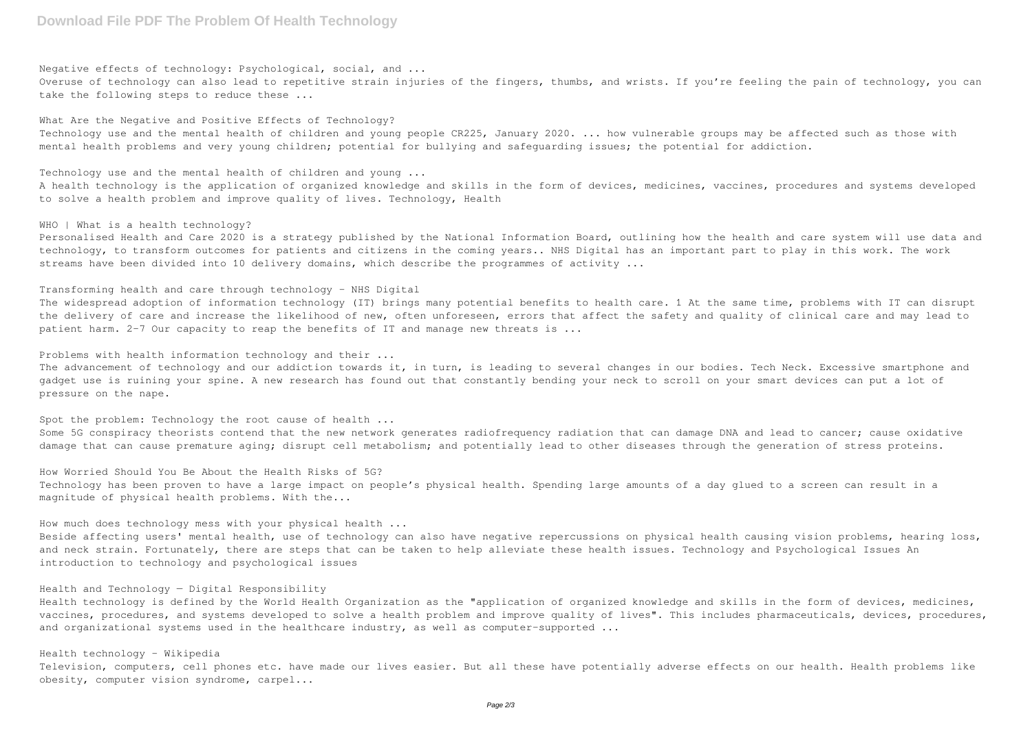Negative effects of technology: Psychological, social, and ...

Overuse of technology can also lead to repetitive strain injuries of the fingers, thumbs, and wrists. If you're feeling the pain of technology, you can take the following steps to reduce these ...

#### What Are the Negative and Positive Effects of Technology?

Personalised Health and Care 2020 is a strategy published by the National Information Board, outlining how the health and care system will use data and technology, to transform outcomes for patients and citizens in the coming years.. NHS Digital has an important part to play in this work. The work streams have been divided into 10 delivery domains, which describe the programmes of activity ...

Technology use and the mental health of children and young people CR225, January 2020. ... how vulnerable groups may be affected such as those with mental health problems and very young children; potential for bullying and safeguarding issues; the potential for addiction.

Technology use and the mental health of children and young ...

A health technology is the application of organized knowledge and skills in the form of devices, medicines, vaccines, procedures and systems developed to solve a health problem and improve quality of lives. Technology, Health

## WHO | What is a health technology?

The widespread adoption of information technology (IT) brings many potential benefits to health care. 1 At the same time, problems with IT can disrupt the delivery of care and increase the likelihood of new, often unforeseen, errors that affect the safety and quality of clinical care and may lead to patient harm. 2–7 Our capacity to reap the benefits of IT and manage new threats is ...

The advancement of technology and our addiction towards it, in turn, is leading to several changes in our bodies. Tech Neck. Excessive smartphone and gadget use is ruining your spine. A new research has found out that constantly bending your neck to scroll on your smart devices can put a lot of pressure on the nape.

Spot the problem: Technology the root cause of health ... Some 5G conspiracy theorists contend that the new network generates radiofrequency radiation that can damage DNA and lead to cancer; cause oxidative damage that can cause premature aging; disrupt cell metabolism; and potentially lead to other diseases through the generation of stress proteins.

## Transforming health and care through technology - NHS Digital

Beside affecting users' mental health, use of technology can also have negative repercussions on physical health causing vision problems, hearing loss, and neck strain. Fortunately, there are steps that can be taken to help alleviate these health issues. Technology and Psychological Issues An introduction to technology and psychological issues

Health technology is defined by the World Health Organization as the "application of organized knowledge and skills in the form of devices, medicines, vaccines, procedures, and systems developed to solve a health problem and improve quality of lives". This includes pharmaceuticals, devices, procedures, and organizational systems used in the healthcare industry, as well as computer-supported ...

#### Problems with health information technology and their ...

How Worried Should You Be About the Health Risks of 5G? Technology has been proven to have a large impact on people's physical health. Spending large amounts of a day glued to a screen can result in a magnitude of physical health problems. With the...

#### How much does technology mess with your physical health ...

## Health and Technology — Digital Responsibility

## Health technology - Wikipedia

Television, computers, cell phones etc. have made our lives easier. But all these have potentially adverse effects on our health. Health problems like obesity, computer vision syndrome, carpel...